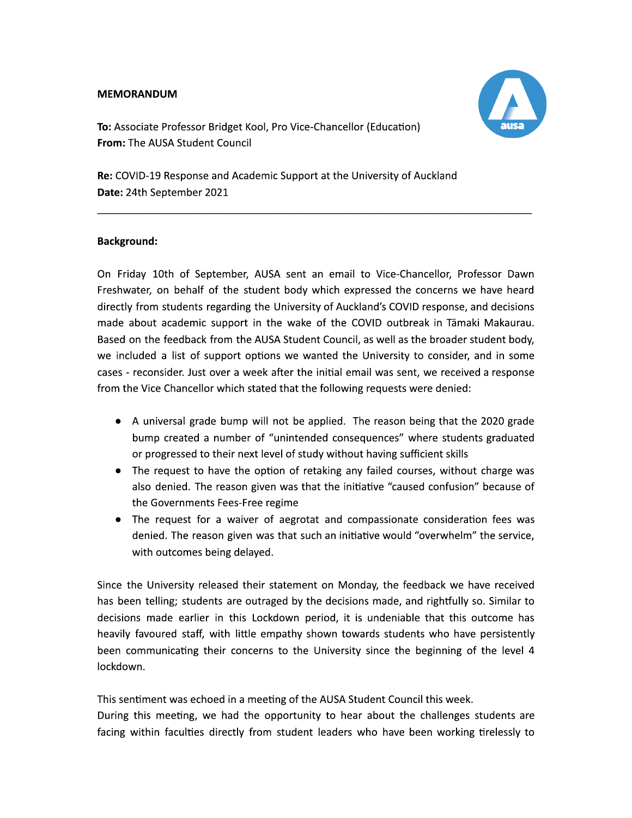### **MEMORANDUM**



To: Associate Professor Bridget Kool, Pro Vice-Chancellor (Education) From: The AUSA Student Council

Re: COVID-19 Response and Academic Support at the University of Auckland Date: 24th September 2021

### **Background:**

On Friday 10th of September, AUSA sent an email to Vice-Chancellor, Professor Dawn Freshwater, on behalf of the student body which expressed the concerns we have heard directly from students regarding the University of Auckland's COVID response, and decisions made about academic support in the wake of the COVID outbreak in Tāmaki Makaurau. Based on the feedback from the AUSA Student Council, as well as the broader student body, we included a list of support options we wanted the University to consider, and in some cases - reconsider. Just over a week after the initial email was sent, we received a response from the Vice Chancellor which stated that the following requests were denied:

- A universal grade bump will not be applied. The reason being that the 2020 grade bump created a number of "unintended consequences" where students graduated or progressed to their next level of study without having sufficient skills
- The request to have the option of retaking any failed courses, without charge was also denied. The reason given was that the initiative "caused confusion" because of the Governments Fees-Free regime
- The request for a waiver of aegrotat and compassionate consideration fees was denied. The reason given was that such an initiative would "overwhelm" the service, with outcomes being delayed.

Since the University released their statement on Monday, the feedback we have received has been telling; students are outraged by the decisions made, and rightfully so. Similar to decisions made earlier in this Lockdown period, it is undeniable that this outcome has heavily favoured staff, with little empathy shown towards students who have persistently been communicating their concerns to the University since the beginning of the level 4 lockdown.

This sentiment was echoed in a meeting of the AUSA Student Council this week.

During this meeting, we had the opportunity to hear about the challenges students are facing within faculties directly from student leaders who have been working tirelessly to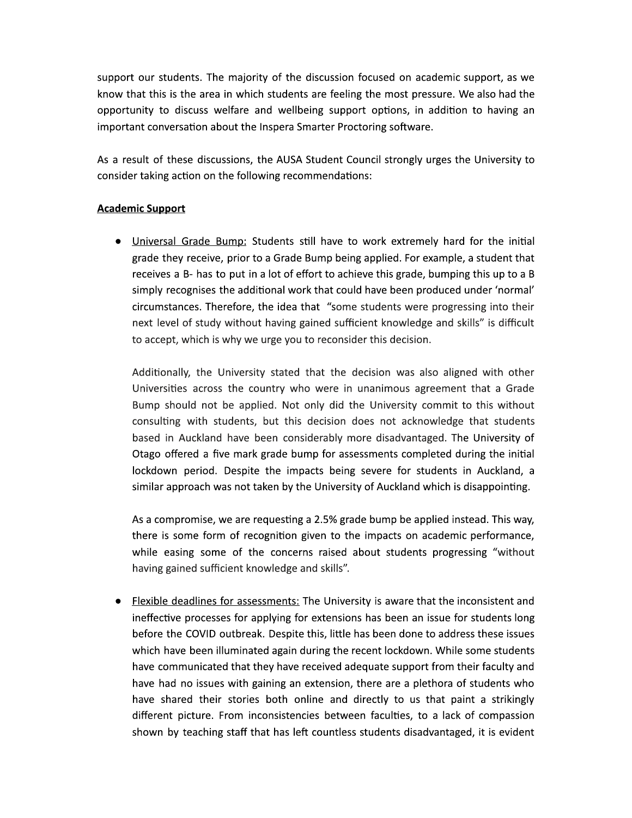support our students. The majority of the discussion focused on academic support, as we know that this is the area in which students are feeling the most pressure. We also had the opportunity to discuss welfare and wellbeing support options, in addition to having an important conversation about the Inspera Smarter Proctoring software.

As a result of these discussions, the AUSA Student Council strongly urges the University to consider taking action on the following recommendations:

# **Academic Support**

. Universal Grade Bump: Students still have to work extremely hard for the initial grade they receive, prior to a Grade Bump being applied. For example, a student that receives a B- has to put in a lot of effort to achieve this grade, bumping this up to a B simply recognises the additional work that could have been produced under 'normal' circumstances. Therefore, the idea that "some students were progressing into their next level of study without having gained sufficient knowledge and skills" is difficult to accept, which is why we urge you to reconsider this decision.

Additionally, the University stated that the decision was also aligned with other Universities across the country who were in unanimous agreement that a Grade Bump should not be applied. Not only did the University commit to this without consulting with students, but this decision does not acknowledge that students based in Auckland have been considerably more disadvantaged. The University of Otago offered a five mark grade bump for assessments completed during the initial lockdown period. Despite the impacts being severe for students in Auckland, a similar approach was not taken by the University of Auckland which is disappointing.

As a compromise, we are requesting a 2.5% grade bump be applied instead. This way, there is some form of recognition given to the impacts on academic performance, while easing some of the concerns raised about students progressing "without having gained sufficient knowledge and skills".

• Flexible deadlines for assessments: The University is aware that the inconsistent and ineffective processes for applying for extensions has been an issue for students long before the COVID outbreak. Despite this, little has been done to address these issues which have been illuminated again during the recent lockdown. While some students have communicated that they have received adequate support from their faculty and have had no issues with gaining an extension, there are a plethora of students who have shared their stories both online and directly to us that paint a strikingly different picture. From inconsistencies between faculties, to a lack of compassion shown by teaching staff that has left countless students disadvantaged, it is evident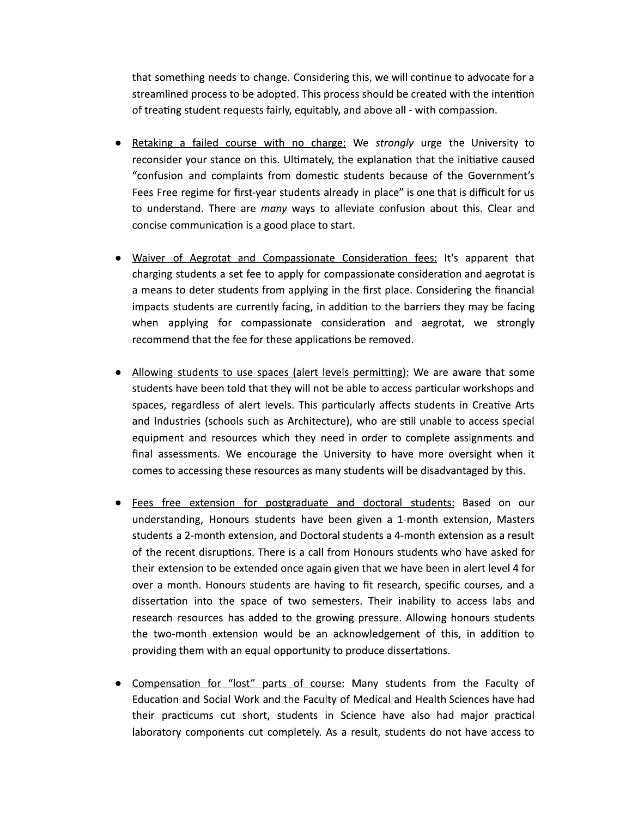that something needs to change. Considering this, we will continue to advocate for a streamlined process to be adopted. This process should be created with the intention of treating student requests fairly, equitably, and above all - with compassion.

- Retaking a failed course with no charge: We strongly urge the University to reconsider your stance on this. Ultimately, the explanation that the initiative caused "confusion and complaints from domestic students because of the Government's Fees Free regime for first-year students already in place" is one that is difficult for us to understand. There are many ways to alleviate confusion about this. Clear and concise communication is a good place to start.
- Waiver of Aegrotat and Compassionate Consideration fees: It's apparent that charging students a set fee to apply for compassionate consideration and aegrotat is a means to deter students from applying in the first place. Considering the financial impacts students are currently facing, in addition to the barriers they may be facing when applying for compassionate consideration and aegrotat, we strongly recommend that the fee for these applications be removed.
- Allowing students to use spaces (alert levels permitting): We are aware that some students have been told that they will not be able to access particular workshops and spaces, regardless of alert levels. This particularly affects students in Creative Arts and Industries (schools such as Architecture), who are still unable to access special equipment and resources which they need in order to complete assignments and final assessments. We encourage the University to have more oversight when it comes to accessing these resources as many students will be disadvantaged by this.
- Fees free extension for postgraduate and doctoral students: Based on our understanding, Honours students have been given a 1-month extension, Masters students a 2-month extension, and Doctoral students a 4-month extension as a result of the recent disruptions. There is a call from Honours students who have asked for their extension to be extended once again given that we have been in alert level 4 for over a month. Honours students are having to fit research, specific courses, and a dissertation into the space of two semesters. Their inability to access labs and research resources has added to the growing pressure. Allowing honours students the two-month extension would be an acknowledgement of this, in addition to providing them with an equal opportunity to produce dissertations.
- Compensation for "lost" parts of course: Many students from the Faculty of Education and Social Work and the Faculty of Medical and Health Sciences have had their practicums cut short, students in Science have also had major practical laboratory components cut completely. As a result, students do not have access to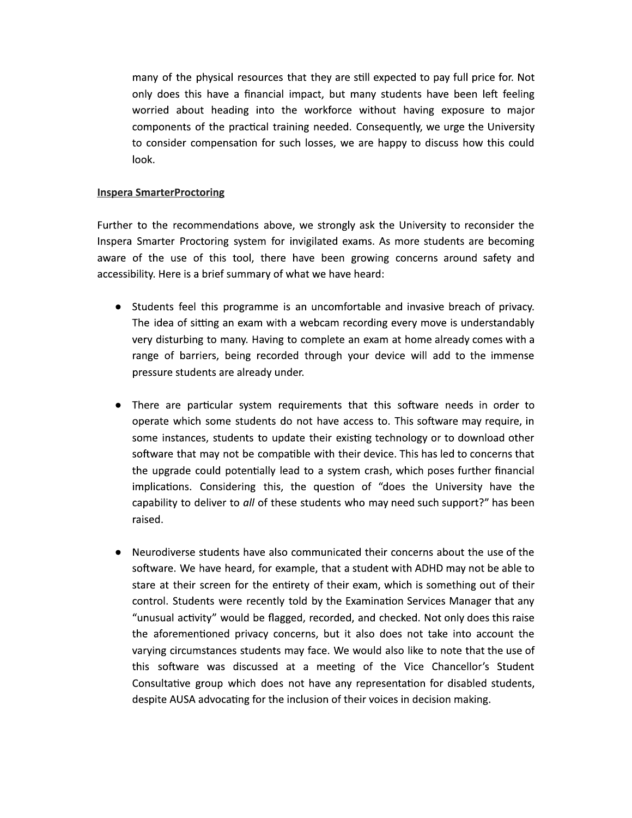many of the physical resources that they are still expected to pay full price for. Not only does this have a financial impact, but many students have been left feeling worried about heading into the workforce without having exposure to major components of the practical training needed. Consequently, we urge the University to consider compensation for such losses, we are happy to discuss how this could look.

### **Inspera SmarterProctoring**

Further to the recommendations above, we strongly ask the University to reconsider the Inspera Smarter Proctoring system for invigilated exams. As more students are becoming aware of the use of this tool, there have been growing concerns around safety and accessibility. Here is a brief summary of what we have heard:

- Students feel this programme is an uncomfortable and invasive breach of privacy. The idea of sitting an exam with a webcam recording every move is understandably very disturbing to many. Having to complete an exam at home already comes with a range of barriers, being recorded through your device will add to the immense pressure students are already under.
- There are particular system requirements that this software needs in order to operate which some students do not have access to. This software may require, in some instances, students to update their existing technology or to download other software that may not be compatible with their device. This has led to concerns that the upgrade could potentially lead to a system crash, which poses further financial implications. Considering this, the question of "does the University have the capability to deliver to all of these students who may need such support?" has been raised.
- Neurodiverse students have also communicated their concerns about the use of the software. We have heard, for example, that a student with ADHD may not be able to stare at their screen for the entirety of their exam, which is something out of their control. Students were recently told by the Examination Services Manager that any "unusual activity" would be flagged, recorded, and checked. Not only does this raise the aforementioned privacy concerns, but it also does not take into account the varying circumstances students may face. We would also like to note that the use of this software was discussed at a meeting of the Vice Chancellor's Student Consultative group which does not have any representation for disabled students, despite AUSA advocating for the inclusion of their voices in decision making.